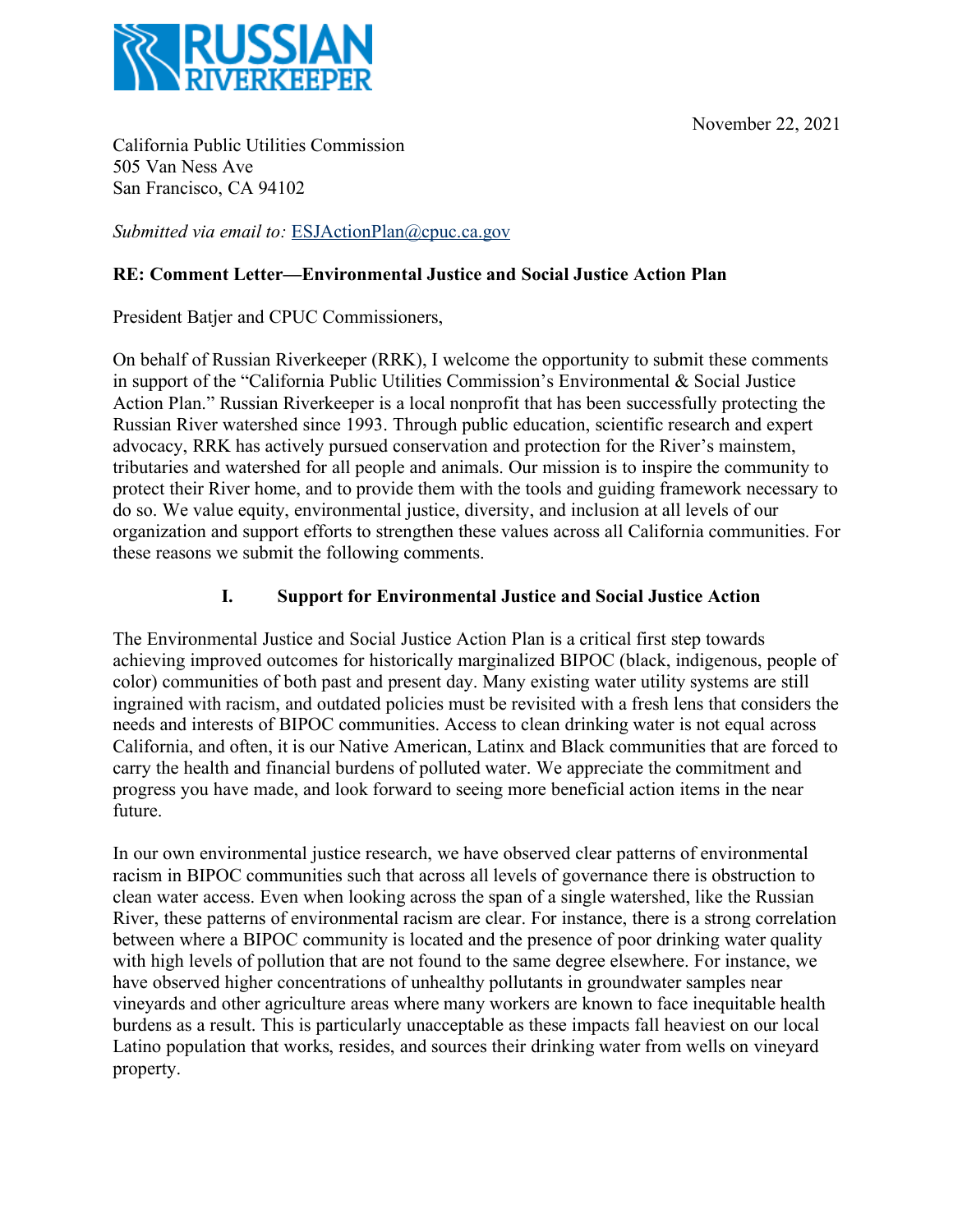



California Public Utilities Commission 505 Van Ness Ave San Francisco, CA 94102

*Submitted via email to:* ESJActionPlan@cpuc.ca.gov

## **RE: Comment Letter—Environmental Justice and Social Justice Action Plan**

President Batjer and CPUC Commissioners,

On behalf of Russian Riverkeeper (RRK), I welcome the opportunity to submit these comments in support of the "California Public Utilities Commission's Environmental & Social Justice Action Plan." Russian Riverkeeper is a local nonprofit that has been successfully protecting the Russian River watershed since 1993. Through public education, scientific research and expert advocacy, RRK has actively pursued conservation and protection for the River's mainstem, tributaries and watershed for all people and animals. Our mission is to inspire the community to protect their River home, and to provide them with the tools and guiding framework necessary to do so. We value equity, environmental justice, diversity, and inclusion at all levels of our organization and support efforts to strengthen these values across all California communities. For these reasons we submit the following comments.

## **I. Support for Environmental Justice and Social Justice Action**

The Environmental Justice and Social Justice Action Plan is a critical first step towards achieving improved outcomes for historically marginalized BIPOC (black, indigenous, people of color) communities of both past and present day. Many existing water utility systems are still ingrained with racism, and outdated policies must be revisited with a fresh lens that considers the needs and interests of BIPOC communities. Access to clean drinking water is not equal across California, and often, it is our Native American, Latinx and Black communities that are forced to carry the health and financial burdens of polluted water. We appreciate the commitment and progress you have made, and look forward to seeing more beneficial action items in the near future.

In our own environmental justice research, we have observed clear patterns of environmental racism in BIPOC communities such that across all levels of governance there is obstruction to clean water access. Even when looking across the span of a single watershed, like the Russian River, these patterns of environmental racism are clear. For instance, there is a strong correlation between where a BIPOC community is located and the presence of poor drinking water quality with high levels of pollution that are not found to the same degree elsewhere. For instance, we have observed higher concentrations of unhealthy pollutants in groundwater samples near vineyards and other agriculture areas where many workers are known to face inequitable health burdens as a result. This is particularly unacceptable as these impacts fall heaviest on our local Latino population that works, resides, and sources their drinking water from wells on vineyard property.